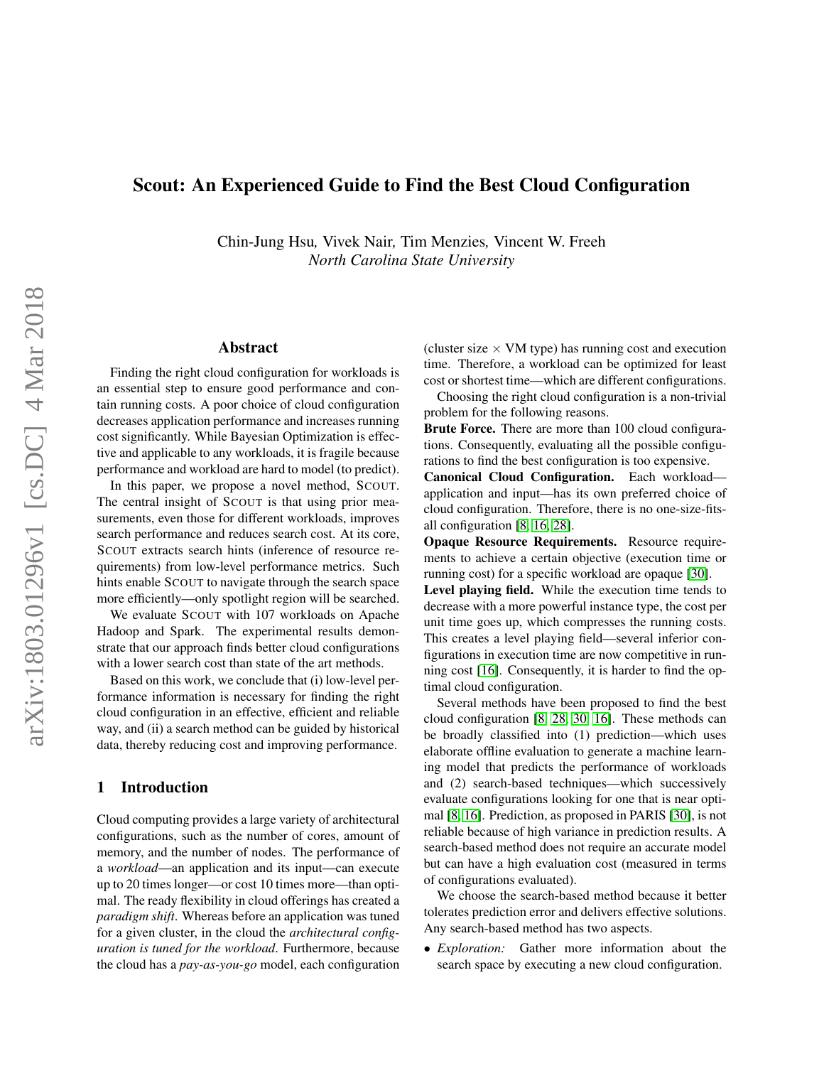# Scout: An Experienced Guide to Find the Best Cloud Configuration

Chin-Jung Hsu*,* Vivek Nair*,* Tim Menzies*,* Vincent W. Freeh *North Carolina State University*

### Abstract

Finding the right cloud configuration for workloads is an essential step to ensure good performance and contain running costs. A poor choice of cloud configuration decreases application performance and increases running cost significantly. While Bayesian Optimization is effective and applicable to any workloads, it is fragile because performance and workload are hard to model (to predict).

In this paper, we propose a novel method, SCOUT. The central insight of SCOUT is that using prior measurements, even those for different workloads, improves search performance and reduces search cost. At its core, SCOUT extracts search hints (inference of resource requirements) from low-level performance metrics. Such hints enable SCOUT to navigate through the search space more efficiently—only spotlight region will be searched.

We evaluate SCOUT with 107 workloads on Apache Hadoop and Spark. The experimental results demonstrate that our approach finds better cloud configurations with a lower search cost than state of the art methods.

Based on this work, we conclude that (i) low-level performance information is necessary for finding the right cloud configuration in an effective, efficient and reliable way, and (ii) a search method can be guided by historical data, thereby reducing cost and improving performance.

### 1 Introduction

Cloud computing provides a large variety of architectural configurations, such as the number of cores, amount of memory, and the number of nodes. The performance of a *workload*—an application and its input—can execute up to 20 times longer—or cost 10 times more—than optimal. The ready flexibility in cloud offerings has created a *paradigm shift*. Whereas before an application was tuned for a given cluster, in the cloud the *architectural configuration is tuned for the workload*. Furthermore, because the cloud has a *pay-as-you-go* model, each configuration (cluster size  $\times$  VM type) has running cost and execution time. Therefore, a workload can be optimized for least cost or shortest time—which are different configurations.

Choosing the right cloud configuration is a non-trivial problem for the following reasons.

Brute Force. There are more than 100 cloud configurations. Consequently, evaluating all the possible configurations to find the best configuration is too expensive.

Canonical Cloud Configuration. Each workload application and input—has its own preferred choice of cloud configuration. Therefore, there is no one-size-fitsall configuration [\[8,](#page-12-0) [16,](#page-12-1) [28\]](#page-12-2).

Opaque Resource Requirements. Resource requirements to achieve a certain objective (execution time or running cost) for a specific workload are opaque [\[30\]](#page-12-3).

Level playing field. While the execution time tends to decrease with a more powerful instance type, the cost per unit time goes up, which compresses the running costs. This creates a level playing field—several inferior configurations in execution time are now competitive in running cost [\[16\]](#page-12-1). Consequently, it is harder to find the optimal cloud configuration.

Several methods have been proposed to find the best cloud configuration [\[8,](#page-12-0) [28,](#page-12-2) [30,](#page-12-3) [16\]](#page-12-1). These methods can be broadly classified into (1) prediction—which uses elaborate offline evaluation to generate a machine learning model that predicts the performance of workloads and (2) search-based techniques—which successively evaluate configurations looking for one that is near optimal [\[8,](#page-12-0) [16\]](#page-12-1). Prediction, as proposed in PARIS [\[30\]](#page-12-3), is not reliable because of high variance in prediction results. A search-based method does not require an accurate model but can have a high evaluation cost (measured in terms of configurations evaluated).

We choose the search-based method because it better tolerates prediction error and delivers effective solutions. Any search-based method has two aspects.

• *Exploration:* Gather more information about the search space by executing a new cloud configuration.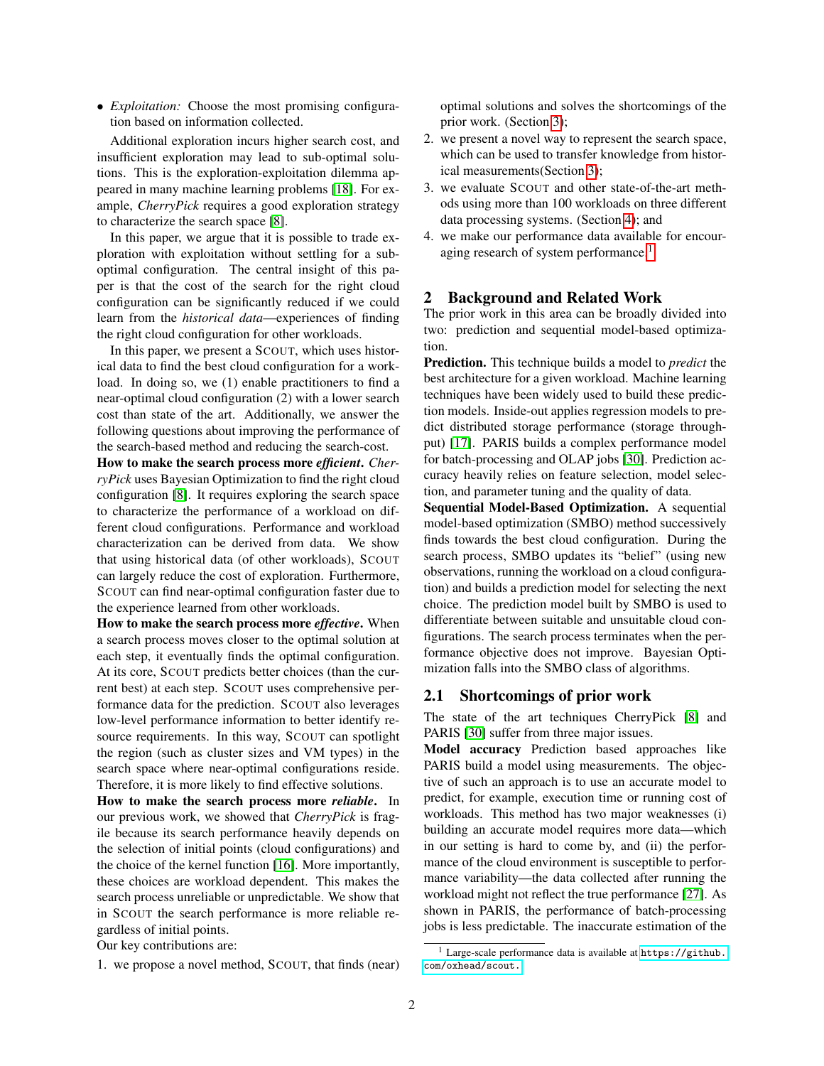• *Exploitation:* Choose the most promising configuration based on information collected.

Additional exploration incurs higher search cost, and insufficient exploration may lead to sub-optimal solutions. This is the exploration-exploitation dilemma appeared in many machine learning problems [\[18\]](#page-12-4). For example, *CherryPick* requires a good exploration strategy to characterize the search space [\[8\]](#page-12-0).

In this paper, we argue that it is possible to trade exploration with exploitation without settling for a suboptimal configuration. The central insight of this paper is that the cost of the search for the right cloud configuration can be significantly reduced if we could learn from the *historical data*—experiences of finding the right cloud configuration for other workloads.

In this paper, we present a SCOUT, which uses historical data to find the best cloud configuration for a workload. In doing so, we (1) enable practitioners to find a near-optimal cloud configuration (2) with a lower search cost than state of the art. Additionally, we answer the following questions about improving the performance of the search-based method and reducing the search-cost.

How to make the search process more *efficient*. *CherryPick* uses Bayesian Optimization to find the right cloud configuration [\[8\]](#page-12-0). It requires exploring the search space to characterize the performance of a workload on different cloud configurations. Performance and workload characterization can be derived from data. We show that using historical data (of other workloads), SCOUT can largely reduce the cost of exploration. Furthermore, SCOUT can find near-optimal configuration faster due to the experience learned from other workloads.

How to make the search process more *effective*. When a search process moves closer to the optimal solution at each step, it eventually finds the optimal configuration. At its core, SCOUT predicts better choices (than the current best) at each step. SCOUT uses comprehensive performance data for the prediction. SCOUT also leverages low-level performance information to better identify resource requirements. In this way, SCOUT can spotlight the region (such as cluster sizes and VM types) in the search space where near-optimal configurations reside. Therefore, it is more likely to find effective solutions.

How to make the search process more *reliable*. In our previous work, we showed that *CherryPick* is fragile because its search performance heavily depends on the selection of initial points (cloud configurations) and the choice of the kernel function [\[16\]](#page-12-1). More importantly, these choices are workload dependent. This makes the search process unreliable or unpredictable. We show that in SCOUT the search performance is more reliable regardless of initial points.

Our key contributions are:

1. we propose a novel method, SCOUT, that finds (near)

optimal solutions and solves the shortcomings of the prior work. (Section [3\)](#page-2-0);

- 2. we present a novel way to represent the search space, which can be used to transfer knowledge from historical measurements(Section [3\)](#page-2-0);
- 3. we evaluate SCOUT and other state-of-the-art methods using more than 100 workloads on three different data processing systems. (Section [4\)](#page-5-0); and
- 4. we make our performance data available for encour-aging research of system performance.<sup>[1](#page-1-0)</sup>

#### <span id="page-1-1"></span>2 Background and Related Work

The prior work in this area can be broadly divided into two: prediction and sequential model-based optimization.

Prediction. This technique builds a model to *predict* the best architecture for a given workload. Machine learning techniques have been widely used to build these prediction models. Inside-out applies regression models to predict distributed storage performance (storage throughput) [\[17\]](#page-12-5). PARIS builds a complex performance model for batch-processing and OLAP jobs [\[30\]](#page-12-3). Prediction accuracy heavily relies on feature selection, model selection, and parameter tuning and the quality of data.

Sequential Model-Based Optimization. A sequential model-based optimization (SMBO) method successively finds towards the best cloud configuration. During the search process, SMBO updates its "belief" (using new observations, running the workload on a cloud configuration) and builds a prediction model for selecting the next choice. The prediction model built by SMBO is used to differentiate between suitable and unsuitable cloud configurations. The search process terminates when the performance objective does not improve. Bayesian Optimization falls into the SMBO class of algorithms.

#### 2.1 Shortcomings of prior work

The state of the art techniques CherryPick [\[8\]](#page-12-0) and PARIS [\[30\]](#page-12-3) suffer from three major issues.

Model accuracy Prediction based approaches like PARIS build a model using measurements. The objective of such an approach is to use an accurate model to predict, for example, execution time or running cost of workloads. This method has two major weaknesses (i) building an accurate model requires more data—which in our setting is hard to come by, and (ii) the performance of the cloud environment is susceptible to performance variability—the data collected after running the workload might not reflect the true performance [\[27\]](#page-12-6). As shown in PARIS, the performance of batch-processing jobs is less predictable. The inaccurate estimation of the

<span id="page-1-0"></span> $1$  Large-scale performance data is available at [https://github.](https://github.com/oxhead/scout.) [com/oxhead/scout.](https://github.com/oxhead/scout.)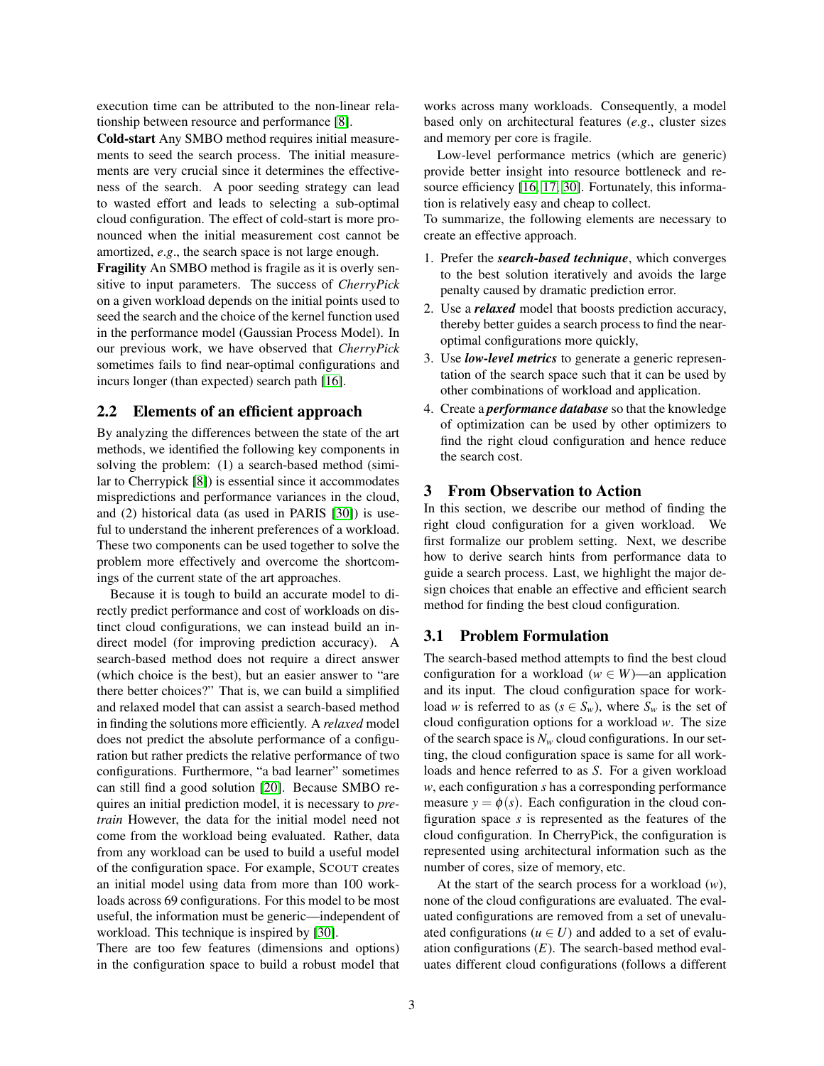execution time can be attributed to the non-linear relationship between resource and performance [\[8\]](#page-12-0).

Cold-start Any SMBO method requires initial measurements to seed the search process. The initial measurements are very crucial since it determines the effectiveness of the search. A poor seeding strategy can lead to wasted effort and leads to selecting a sub-optimal cloud configuration. The effect of cold-start is more pronounced when the initial measurement cost cannot be amortized, *e*.*g*., the search space is not large enough.

Fragility An SMBO method is fragile as it is overly sensitive to input parameters. The success of *CherryPick* on a given workload depends on the initial points used to seed the search and the choice of the kernel function used in the performance model (Gaussian Process Model). In our previous work, we have observed that *CherryPick* sometimes fails to find near-optimal configurations and incurs longer (than expected) search path [\[16\]](#page-12-1).

#### 2.2 Elements of an efficient approach

By analyzing the differences between the state of the art methods, we identified the following key components in solving the problem: (1) a search-based method (similar to Cherrypick [\[8\]](#page-12-0)) is essential since it accommodates mispredictions and performance variances in the cloud, and (2) historical data (as used in PARIS [\[30\]](#page-12-3)) is useful to understand the inherent preferences of a workload. These two components can be used together to solve the problem more effectively and overcome the shortcomings of the current state of the art approaches.

Because it is tough to build an accurate model to directly predict performance and cost of workloads on distinct cloud configurations, we can instead build an indirect model (for improving prediction accuracy). A search-based method does not require a direct answer (which choice is the best), but an easier answer to "are there better choices?" That is, we can build a simplified and relaxed model that can assist a search-based method in finding the solutions more efficiently. A *relaxed* model does not predict the absolute performance of a configuration but rather predicts the relative performance of two configurations. Furthermore, "a bad learner" sometimes can still find a good solution [\[20\]](#page-12-7). Because SMBO requires an initial prediction model, it is necessary to *pretrain* However, the data for the initial model need not come from the workload being evaluated. Rather, data from any workload can be used to build a useful model of the configuration space. For example, SCOUT creates an initial model using data from more than 100 workloads across 69 configurations. For this model to be most useful, the information must be generic—independent of workload. This technique is inspired by [\[30\]](#page-12-3).

There are too few features (dimensions and options) in the configuration space to build a robust model that works across many workloads. Consequently, a model based only on architectural features (*e*.*g*., cluster sizes and memory per core is fragile.

Low-level performance metrics (which are generic) provide better insight into resource bottleneck and re-source efficiency [\[16,](#page-12-1) [17,](#page-12-5) [30\]](#page-12-3). Fortunately, this information is relatively easy and cheap to collect.

To summarize, the following elements are necessary to create an effective approach.

- 1. Prefer the *search-based technique*, which converges to the best solution iteratively and avoids the large penalty caused by dramatic prediction error.
- 2. Use a *relaxed* model that boosts prediction accuracy, thereby better guides a search process to find the nearoptimal configurations more quickly,
- 3. Use *low-level metrics* to generate a generic representation of the search space such that it can be used by other combinations of workload and application.
- 4. Create a *performance database* so that the knowledge of optimization can be used by other optimizers to find the right cloud configuration and hence reduce the search cost.

#### <span id="page-2-0"></span>3 From Observation to Action

In this section, we describe our method of finding the right cloud configuration for a given workload. We first formalize our problem setting. Next, we describe how to derive search hints from performance data to guide a search process. Last, we highlight the major design choices that enable an effective and efficient search method for finding the best cloud configuration.

#### 3.1 Problem Formulation

The search-based method attempts to find the best cloud configuration for a workload ( $w \in W$ )—an application and its input. The cloud configuration space for workload *w* is referred to as ( $s \in S_w$ ), where  $S_w$  is the set of cloud configuration options for a workload *w*. The size of the search space is  $N_w$  cloud configurations. In our setting, the cloud configuration space is same for all workloads and hence referred to as *S*. For a given workload *w*, each configuration *s* has a corresponding performance measure  $y = \phi(s)$ . Each configuration in the cloud configuration space *s* is represented as the features of the cloud configuration. In CherryPick, the configuration is represented using architectural information such as the number of cores, size of memory, etc.

At the start of the search process for a workload (*w*), none of the cloud configurations are evaluated. The evaluated configurations are removed from a set of unevaluated configurations ( $u \in U$ ) and added to a set of evaluation configurations  $(E)$ . The search-based method evaluates different cloud configurations (follows a different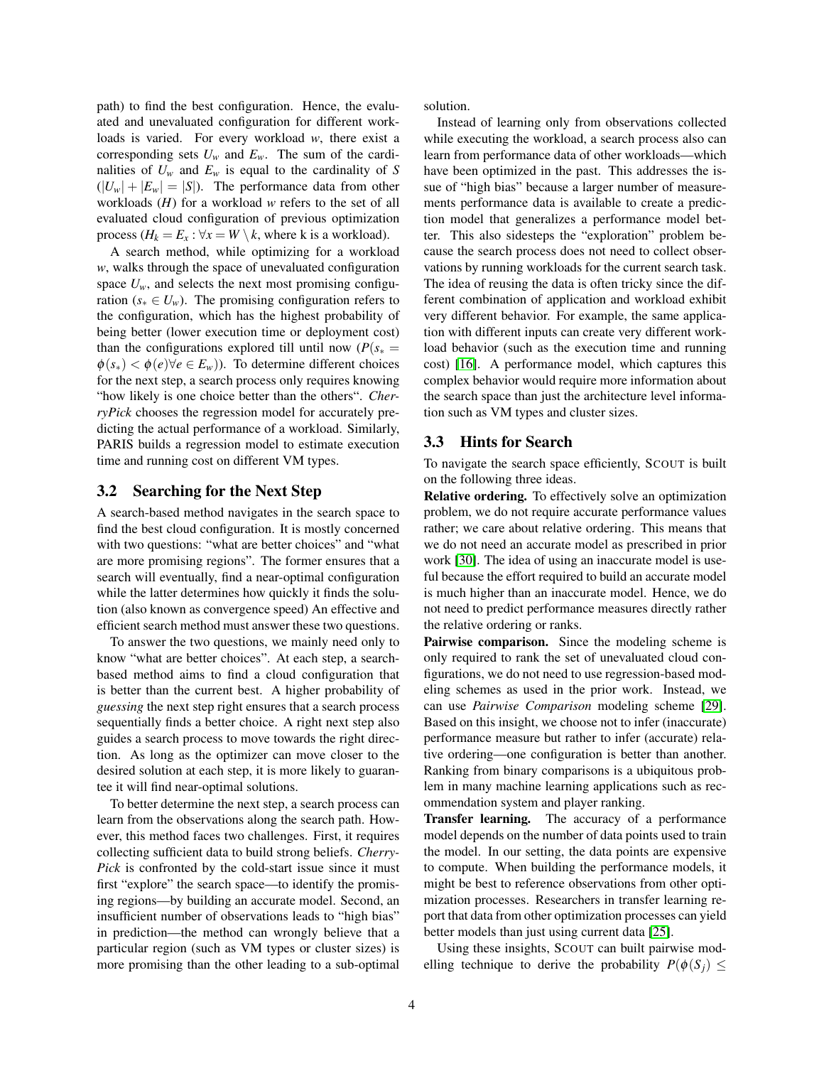path) to find the best configuration. Hence, the evaluated and unevaluated configuration for different workloads is varied. For every workload *w*, there exist a corresponding sets  $U_w$  and  $E_w$ . The sum of the cardinalities of  $U_w$  and  $E_w$  is equal to the cardinality of *S*  $(|U_w| + |E_w| = |S|)$ . The performance data from other workloads (*H*) for a workload *w* refers to the set of all evaluated cloud configuration of previous optimization process ( $H_k = E_x$ :  $\forall x = W \setminus k$ , where k is a workload).

A search method, while optimizing for a workload *w*, walks through the space of unevaluated configuration space  $U_w$ , and selects the next most promising configuration ( $s_* \in U_w$ ). The promising configuration refers to the configuration, which has the highest probability of being better (lower execution time or deployment cost) than the configurations explored till until now ( $P(s_*)$  $\phi(s_*) < \phi(e) \forall e \in E_w$ ). To determine different choices for the next step, a search process only requires knowing "how likely is one choice better than the others". *CherryPick* chooses the regression model for accurately predicting the actual performance of a workload. Similarly, PARIS builds a regression model to estimate execution time and running cost on different VM types.

### 3.2 Searching for the Next Step

A search-based method navigates in the search space to find the best cloud configuration. It is mostly concerned with two questions: "what are better choices" and "what are more promising regions". The former ensures that a search will eventually, find a near-optimal configuration while the latter determines how quickly it finds the solution (also known as convergence speed) An effective and efficient search method must answer these two questions.

To answer the two questions, we mainly need only to know "what are better choices". At each step, a searchbased method aims to find a cloud configuration that is better than the current best. A higher probability of *guessing* the next step right ensures that a search process sequentially finds a better choice. A right next step also guides a search process to move towards the right direction. As long as the optimizer can move closer to the desired solution at each step, it is more likely to guarantee it will find near-optimal solutions.

To better determine the next step, a search process can learn from the observations along the search path. However, this method faces two challenges. First, it requires collecting sufficient data to build strong beliefs. *Cherry-Pick* is confronted by the cold-start issue since it must first "explore" the search space—to identify the promising regions—by building an accurate model. Second, an insufficient number of observations leads to "high bias" in prediction—the method can wrongly believe that a particular region (such as VM types or cluster sizes) is more promising than the other leading to a sub-optimal solution.

Instead of learning only from observations collected while executing the workload, a search process also can learn from performance data of other workloads—which have been optimized in the past. This addresses the issue of "high bias" because a larger number of measurements performance data is available to create a prediction model that generalizes a performance model better. This also sidesteps the "exploration" problem because the search process does not need to collect observations by running workloads for the current search task. The idea of reusing the data is often tricky since the different combination of application and workload exhibit very different behavior. For example, the same application with different inputs can create very different workload behavior (such as the execution time and running cost) [\[16\]](#page-12-1). A performance model, which captures this complex behavior would require more information about the search space than just the architecture level information such as VM types and cluster sizes.

#### 3.3 Hints for Search

To navigate the search space efficiently, SCOUT is built on the following three ideas.

Relative ordering. To effectively solve an optimization problem, we do not require accurate performance values rather; we care about relative ordering. This means that we do not need an accurate model as prescribed in prior work [\[30\]](#page-12-3). The idea of using an inaccurate model is useful because the effort required to build an accurate model is much higher than an inaccurate model. Hence, we do not need to predict performance measures directly rather the relative ordering or ranks.

Pairwise comparison. Since the modeling scheme is only required to rank the set of unevaluated cloud configurations, we do not need to use regression-based modeling schemes as used in the prior work. Instead, we can use *Pairwise Comparison* modeling scheme [\[29\]](#page-12-8). Based on this insight, we choose not to infer (inaccurate) performance measure but rather to infer (accurate) relative ordering—one configuration is better than another. Ranking from binary comparisons is a ubiquitous problem in many machine learning applications such as recommendation system and player ranking.

Transfer learning. The accuracy of a performance model depends on the number of data points used to train the model. In our setting, the data points are expensive to compute. When building the performance models, it might be best to reference observations from other optimization processes. Researchers in transfer learning report that data from other optimization processes can yield better models than just using current data [\[25\]](#page-12-9).

Using these insights, SCOUT can built pairwise modelling technique to derive the probability  $P(\phi(S_i) \leq$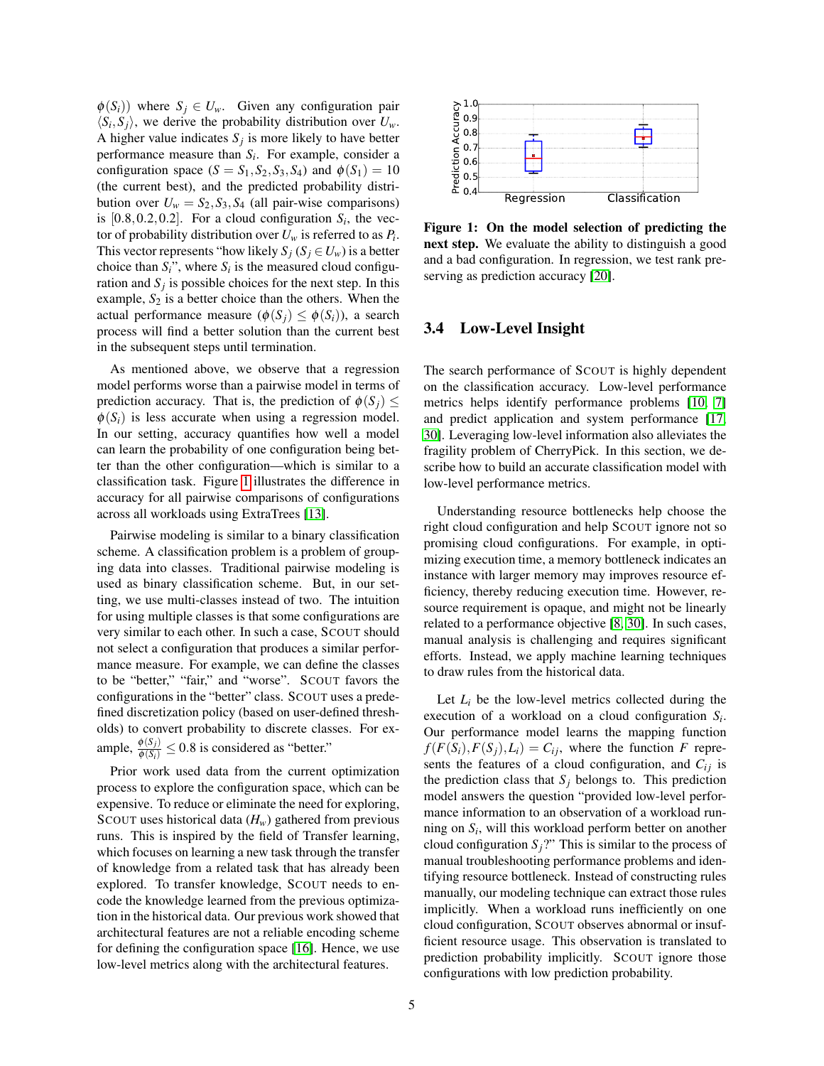$\phi(S_i)$ ) where  $S_i \in U_w$ . Given any configuration pair  $\langle S_i, S_j \rangle$ , we derive the probability distribution over  $U_w$ . A higher value indicates  $S_j$  is more likely to have better performance measure than *S<sup>i</sup>* . For example, consider a configuration space  $(S = S_1, S_2, S_3, S_4)$  and  $\phi(S_1) = 10$ (the current best), and the predicted probability distribution over  $U_w = S_2, S_3, S_4$  (all pair-wise comparisons) is  $[0.8, 0.2, 0.2]$ . For a cloud configuration  $S_i$ , the vector of probability distribution over  $U_w$  is referred to as  $P_i$ . This vector represents "how likely  $S_i$  ( $S_j \in U_w$ ) is a better choice than  $S_i$ <sup>"</sup>, where  $S_i$  is the measured cloud configuration and  $S_j$  is possible choices for the next step. In this example,  $S_2$  is a better choice than the others. When the actual performance measure  $(\phi(S_i) \leq \phi(S_i))$ , a search process will find a better solution than the current best in the subsequent steps until termination.

As mentioned above, we observe that a regression model performs worse than a pairwise model in terms of prediction accuracy. That is, the prediction of  $\phi(S_i)$  <  $\phi(S_i)$  is less accurate when using a regression model. In our setting, accuracy quantifies how well a model can learn the probability of one configuration being better than the other configuration—which is similar to a classification task. Figure [1](#page-4-0) illustrates the difference in accuracy for all pairwise comparisons of configurations across all workloads using ExtraTrees [\[13\]](#page-12-10).

Pairwise modeling is similar to a binary classification scheme. A classification problem is a problem of grouping data into classes. Traditional pairwise modeling is used as binary classification scheme. But, in our setting, we use multi-classes instead of two. The intuition for using multiple classes is that some configurations are very similar to each other. In such a case, SCOUT should not select a configuration that produces a similar performance measure. For example, we can define the classes to be "better," "fair," and "worse". SCOUT favors the configurations in the "better" class. SCOUT uses a predefined discretization policy (based on user-defined thresholds) to convert probability to discrete classes. For example,  $\frac{\phi(S_j)}{\phi(S_i)} \leq 0.8$  is considered as "better."

Prior work used data from the current optimization process to explore the configuration space, which can be expensive. To reduce or eliminate the need for exploring, SCOUT uses historical data  $(H_w)$  gathered from previous runs. This is inspired by the field of Transfer learning, which focuses on learning a new task through the transfer of knowledge from a related task that has already been explored. To transfer knowledge, SCOUT needs to encode the knowledge learned from the previous optimization in the historical data. Our previous work showed that architectural features are not a reliable encoding scheme for defining the configuration space [\[16\]](#page-12-1). Hence, we use low-level metrics along with the architectural features.

<span id="page-4-0"></span>

Figure 1: On the model selection of predicting the next step. We evaluate the ability to distinguish a good and a bad configuration. In regression, we test rank preserving as prediction accuracy [\[20\]](#page-12-7).

#### 3.4 Low-Level Insight

The search performance of SCOUT is highly dependent on the classification accuracy. Low-level performance metrics helps identify performance problems [\[10,](#page-12-11) [7\]](#page-12-12) and predict application and system performance [\[17,](#page-12-5) [30\]](#page-12-3). Leveraging low-level information also alleviates the fragility problem of CherryPick. In this section, we describe how to build an accurate classification model with low-level performance metrics.

Understanding resource bottlenecks help choose the right cloud configuration and help SCOUT ignore not so promising cloud configurations. For example, in optimizing execution time, a memory bottleneck indicates an instance with larger memory may improves resource efficiency, thereby reducing execution time. However, resource requirement is opaque, and might not be linearly related to a performance objective [\[8,](#page-12-0) [30\]](#page-12-3). In such cases, manual analysis is challenging and requires significant efforts. Instead, we apply machine learning techniques to draw rules from the historical data.

Let  $L_i$  be the low-level metrics collected during the execution of a workload on a cloud configuration *S<sup>i</sup>* . Our performance model learns the mapping function  $f(F(S_i), F(S_j), L_i) = C_{ij}$ , where the function *F* represents the features of a cloud configuration, and  $C_{ij}$  is the prediction class that  $S_j$  belongs to. This prediction model answers the question "provided low-level performance information to an observation of a workload running on *S<sup>i</sup>* , will this workload perform better on another cloud configuration  $S_j$ ?" This is similar to the process of manual troubleshooting performance problems and identifying resource bottleneck. Instead of constructing rules manually, our modeling technique can extract those rules implicitly. When a workload runs inefficiently on one cloud configuration, SCOUT observes abnormal or insufficient resource usage. This observation is translated to prediction probability implicitly. SCOUT ignore those configurations with low prediction probability.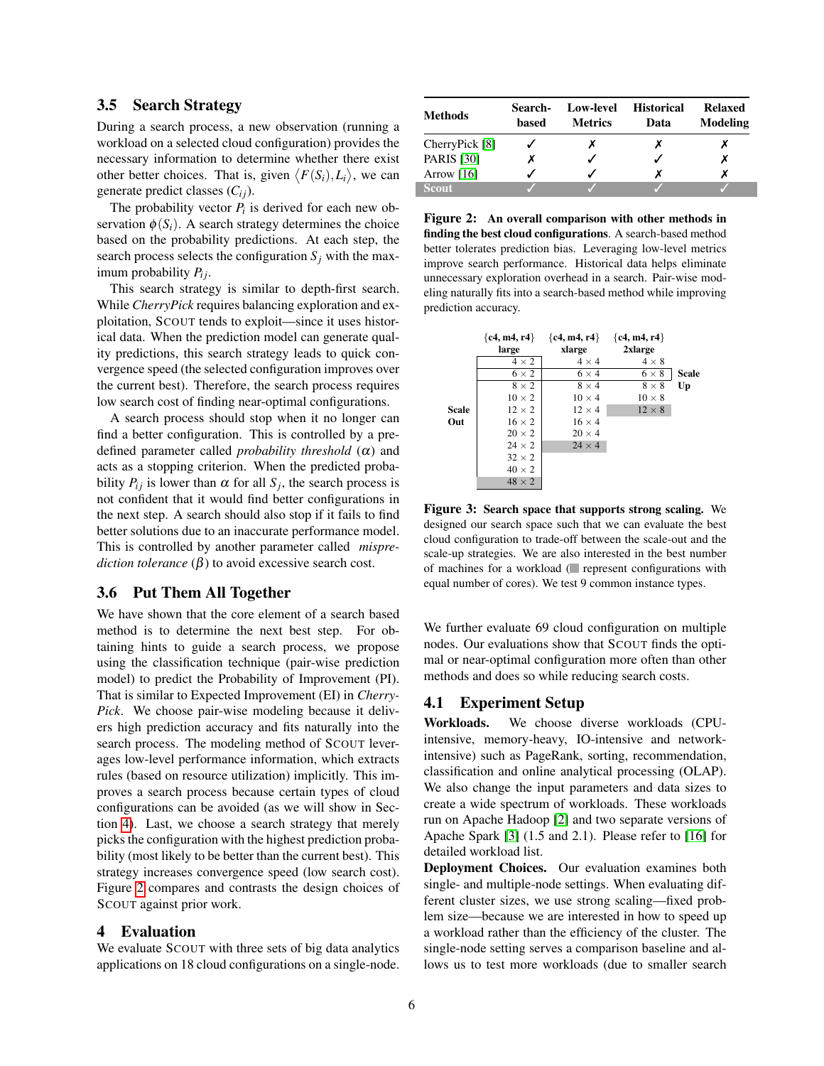#### 3.5 Search Strategy

During a search process, a new observation (running a workload on a selected cloud configuration) provides the necessary information to determine whether there exist other better choices. That is, given  $\langle F(S_i), L_i \rangle$ , we can generate predict classes  $(C_{ij})$ .

The probability vector  $P_i$  is derived for each new observation  $\phi(S_i)$ . A search strategy determines the choice based on the probability predictions. At each step, the search process selects the configuration  $S_i$  with the maximum probability  $P_{ij}$ .

This search strategy is similar to depth-first search. While *CherryPick* requires balancing exploration and exploitation, SCOUT tends to exploit—since it uses historical data. When the prediction model can generate quality predictions, this search strategy leads to quick convergence speed (the selected configuration improves over the current best). Therefore, the search process requires low search cost of finding near-optimal configurations.

A search process should stop when it no longer can find a better configuration. This is controlled by a predefined parameter called *probability threshold* (α) and acts as a stopping criterion. When the predicted probability  $P_{ij}$  is lower than  $\alpha$  for all  $S_j$ , the search process is not confident that it would find better configurations in the next step. A search should also stop if it fails to find better solutions due to an inaccurate performance model. This is controlled by another parameter called *misprediction tolerance*  $(\beta)$  to avoid excessive search cost.

#### 3.6 Put Them All Together

We have shown that the core element of a search based method is to determine the next best step. For obtaining hints to guide a search process, we propose using the classification technique (pair-wise prediction model) to predict the Probability of Improvement (PI). That is similar to Expected Improvement (EI) in *Cherry-Pick*. We choose pair-wise modeling because it delivers high prediction accuracy and fits naturally into the search process. The modeling method of SCOUT leverages low-level performance information, which extracts rules (based on resource utilization) implicitly. This improves a search process because certain types of cloud configurations can be avoided (as we will show in Section [4\)](#page-5-0). Last, we choose a search strategy that merely picks the configuration with the highest prediction probability (most likely to be better than the current best). This strategy increases convergence speed (low search cost). Figure [2](#page-5-1) compares and contrasts the design choices of SCOUT against prior work.

### <span id="page-5-0"></span>4 Evaluation

We evaluate SCOUT with three sets of big data analytics applications on 18 cloud configurations on a single-node.

<span id="page-5-1"></span>

| <b>Methods</b>    | Search-<br>based | Low-level<br><b>Metrics</b> | <b>Historical</b><br>Data | <b>Relaxed</b><br>Modeling |
|-------------------|------------------|-----------------------------|---------------------------|----------------------------|
| CherryPick [8]    |                  |                             |                           |                            |
| <b>PARIS</b> [30] |                  |                             |                           |                            |
| Arrow $[16]$      |                  |                             |                           |                            |
| <b>Scout</b>      |                  |                             |                           |                            |

Figure 2: An overall comparison with other methods in finding the best cloud configurations. A search-based method better tolerates prediction bias. Leveraging low-level metrics improve search performance. Historical data helps eliminate unnecessary exploration overhead in a search. Pair-wise modeling naturally fits into a search-based method while improving prediction accuracy.

<span id="page-5-2"></span>

Figure 3: Search space that supports strong scaling. We designed our search space such that we can evaluate the best cloud configuration to trade-off between the scale-out and the scale-up strategies. We are also interested in the best number of machines for a workload ( $\blacksquare$  represent configurations with equal number of cores). We test 9 common instance types.

We further evaluate 69 cloud configuration on multiple nodes. Our evaluations show that SCOUT finds the optimal or near-optimal configuration more often than other methods and does so while reducing search costs.

### 4.1 Experiment Setup

Workloads. We choose diverse workloads (CPUintensive, memory-heavy, IO-intensive and networkintensive) such as PageRank, sorting, recommendation, classification and online analytical processing (OLAP). We also change the input parameters and data sizes to create a wide spectrum of workloads. These workloads run on Apache Hadoop [\[2\]](#page-11-0) and two separate versions of Apache Spark [\[3\]](#page-11-1) (1.5 and 2.1). Please refer to [\[16\]](#page-12-1) for detailed workload list.

Deployment Choices. Our evaluation examines both single- and multiple-node settings. When evaluating different cluster sizes, we use strong scaling—fixed problem size—because we are interested in how to speed up a workload rather than the efficiency of the cluster. The single-node setting serves a comparison baseline and allows us to test more workloads (due to smaller search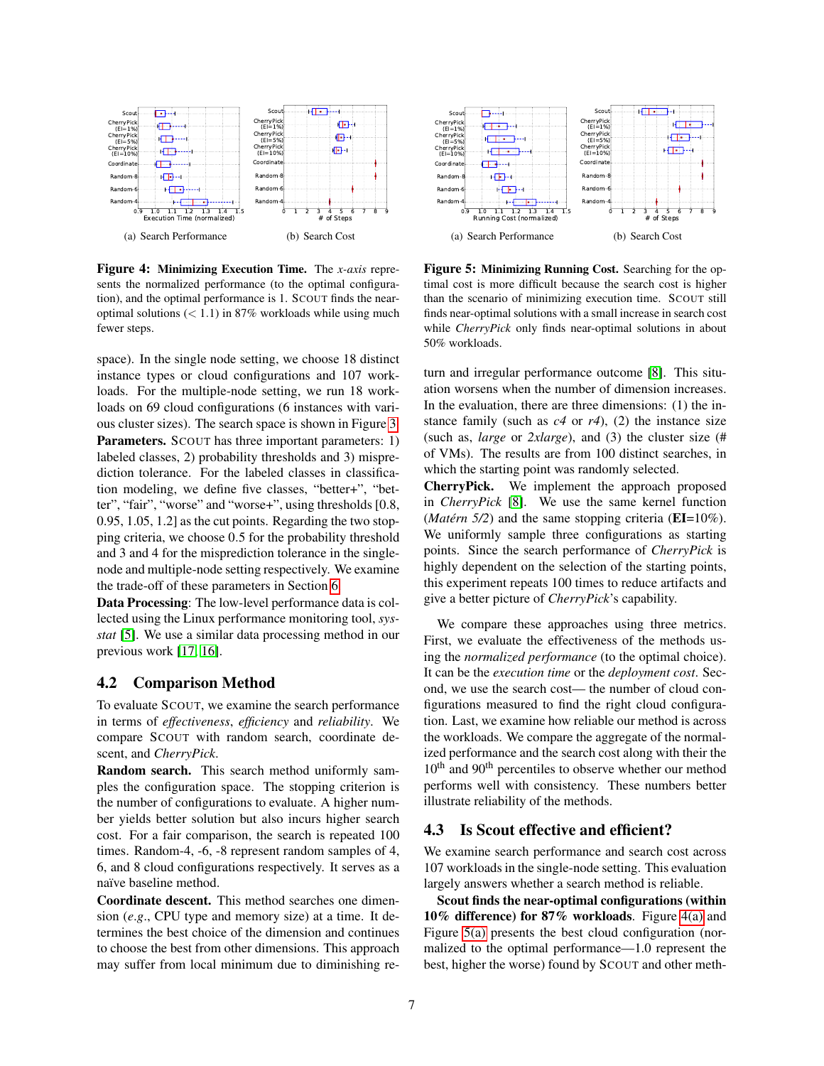<span id="page-6-4"></span><span id="page-6-0"></span>

<span id="page-6-2"></span>Figure 4: Minimizing Execution Time. The *x-axis* represents the normalized performance (to the optimal configuration), and the optimal performance is 1. SCOUT finds the nearoptimal solutions  $(< 1.1$ ) in 87% workloads while using much fewer steps.

space). In the single node setting, we choose 18 distinct instance types or cloud configurations and 107 workloads. For the multiple-node setting, we run 18 workloads on 69 cloud configurations (6 instances with various cluster sizes). The search space is shown in Figure [3.](#page-5-2) **Parameters.** SCOUT has three important parameters: 1) labeled classes, 2) probability thresholds and 3) misprediction tolerance. For the labeled classes in classification modeling, we define five classes, "better+", "better", "fair", "worse" and "worse+", using thresholds [0.8, 0.95, 1.05, 1.2] as the cut points. Regarding the two stopping criteria, we choose 0.5 for the probability threshold and 3 and 4 for the misprediction tolerance in the singlenode and multiple-node setting respectively. We examine the trade-off of these parameters in Section [6.](#page-9-0)

Data Processing: The low-level performance data is collected using the Linux performance monitoring tool, *sysstat* [\[5\]](#page-11-2). We use a similar data processing method in our previous work [\[17,](#page-12-5) [16\]](#page-12-1).

#### 4.2 Comparison Method

To evaluate SCOUT, we examine the search performance in terms of *effectiveness*, *efficiency* and *reliability*. We compare SCOUT with random search, coordinate descent, and *CherryPick*.

Random search. This search method uniformly samples the configuration space. The stopping criterion is the number of configurations to evaluate. A higher number yields better solution but also incurs higher search cost. For a fair comparison, the search is repeated 100 times. Random-4, -6, -8 represent random samples of 4, 6, and 8 cloud configurations respectively. It serves as a naïve baseline method.

Coordinate descent. This method searches one dimension (*e*.*g*., CPU type and memory size) at a time. It determines the best choice of the dimension and continues to choose the best from other dimensions. This approach may suffer from local minimum due to diminishing re-

<span id="page-6-1"></span>

<span id="page-6-3"></span>Figure 5: Minimizing Running Cost. Searching for the optimal cost is more difficult because the search cost is higher than the scenario of minimizing execution time. SCOUT still finds near-optimal solutions with a small increase in search cost while *CherryPick* only finds near-optimal solutions in about 50% workloads.

turn and irregular performance outcome [\[8\]](#page-12-0). This situation worsens when the number of dimension increases. In the evaluation, there are three dimensions: (1) the instance family (such as  $c4$  or  $r4$ ), (2) the instance size (such as, *large* or *2xlarge*), and (3) the cluster size (# of VMs). The results are from 100 distinct searches, in which the starting point was randomly selected.

CherryPick. We implement the approach proposed in *CherryPick* [\[8\]](#page-12-0). We use the same kernel function (*Matérn 5/2*) and the same stopping criteria ( $EI=10\%$ ). We uniformly sample three configurations as starting points. Since the search performance of *CherryPick* is highly dependent on the selection of the starting points, this experiment repeats 100 times to reduce artifacts and give a better picture of *CherryPick*'s capability.

We compare these approaches using three metrics. First, we evaluate the effectiveness of the methods using the *normalized performance* (to the optimal choice). It can be the *execution time* or the *deployment cost*. Second, we use the search cost— the number of cloud configurations measured to find the right cloud configuration. Last, we examine how reliable our method is across the workloads. We compare the aggregate of the normalized performance and the search cost along with their the 10<sup>th</sup> and 90<sup>th</sup> percentiles to observe whether our method performs well with consistency. These numbers better illustrate reliability of the methods.

### 4.3 Is Scout effective and efficient?

We examine search performance and search cost across 107 workloads in the single-node setting. This evaluation largely answers whether a search method is reliable.

Scout finds the near-optimal configurations (within 10% difference) for 87% workloads. Figure [4\(a\)](#page-6-0) and Figure [5\(a\)](#page-6-1) presents the best cloud configuration (normalized to the optimal performance—1.0 represent the best, higher the worse) found by SCOUT and other meth-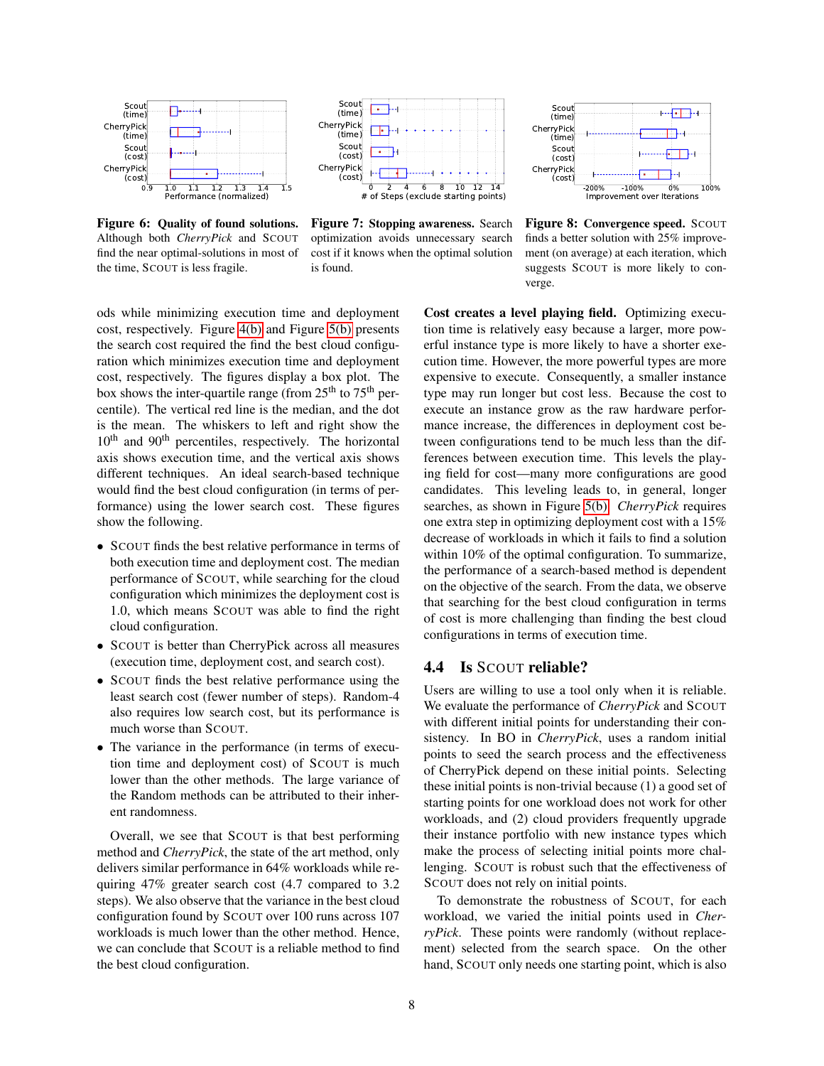<span id="page-7-0"></span>

Figure 6: Quality of found solutions. Although both *CherryPick* and SCOUT find the near optimal-solutions in most of the time, SCOUT is less fragile.



Figure 7: Stopping awareness. Search optimization avoids unnecessary search cost if it knows when the optimal solution is found.



Figure 8: Convergence speed. SCOUT finds a better solution with 25% improvement (on average) at each iteration, which suggests SCOUT is more likely to converge.

ods while minimizing execution time and deployment cost, respectively. Figure [4\(b\)](#page-6-2) and Figure [5\(b\)](#page-6-3) presents the search cost required the find the best cloud configuration which minimizes execution time and deployment cost, respectively. The figures display a box plot. The box shows the inter-quartile range (from  $25<sup>th</sup>$  to  $75<sup>th</sup>$  percentile). The vertical red line is the median, and the dot is the mean. The whiskers to left and right show the 10<sup>th</sup> and 90<sup>th</sup> percentiles, respectively. The horizontal axis shows execution time, and the vertical axis shows different techniques. An ideal search-based technique would find the best cloud configuration (in terms of performance) using the lower search cost. These figures show the following.

- SCOUT finds the best relative performance in terms of both execution time and deployment cost. The median performance of SCOUT, while searching for the cloud configuration which minimizes the deployment cost is 1.0, which means SCOUT was able to find the right cloud configuration.
- SCOUT is better than CherryPick across all measures (execution time, deployment cost, and search cost).
- SCOUT finds the best relative performance using the least search cost (fewer number of steps). Random-4 also requires low search cost, but its performance is much worse than SCOUT.
- The variance in the performance (in terms of execution time and deployment cost) of SCOUT is much lower than the other methods. The large variance of the Random methods can be attributed to their inherent randomness.

Overall, we see that SCOUT is that best performing method and *CherryPick*, the state of the art method, only delivers similar performance in 64% workloads while requiring 47% greater search cost (4.7 compared to 3.2 steps). We also observe that the variance in the best cloud configuration found by SCOUT over 100 runs across 107 workloads is much lower than the other method. Hence, we can conclude that SCOUT is a reliable method to find the best cloud configuration.

Cost creates a level playing field. Optimizing execution time is relatively easy because a larger, more powerful instance type is more likely to have a shorter execution time. However, the more powerful types are more expensive to execute. Consequently, a smaller instance type may run longer but cost less. Because the cost to execute an instance grow as the raw hardware performance increase, the differences in deployment cost between configurations tend to be much less than the differences between execution time. This levels the playing field for cost—many more configurations are good candidates. This leveling leads to, in general, longer searches, as shown in Figure [5\(b\).](#page-6-3) *CherryPick* requires one extra step in optimizing deployment cost with a 15% decrease of workloads in which it fails to find a solution within 10% of the optimal configuration. To summarize, the performance of a search-based method is dependent on the objective of the search. From the data, we observe that searching for the best cloud configuration in terms of cost is more challenging than finding the best cloud configurations in terms of execution time.

### 4.4 Is SCOUT reliable?

Users are willing to use a tool only when it is reliable. We evaluate the performance of *CherryPick* and SCOUT with different initial points for understanding their consistency. In BO in *CherryPick*, uses a random initial points to seed the search process and the effectiveness of CherryPick depend on these initial points. Selecting these initial points is non-trivial because (1) a good set of starting points for one workload does not work for other workloads, and (2) cloud providers frequently upgrade their instance portfolio with new instance types which make the process of selecting initial points more challenging. SCOUT is robust such that the effectiveness of SCOUT does not rely on initial points.

To demonstrate the robustness of SCOUT, for each workload, we varied the initial points used in *CherryPick*. These points were randomly (without replacement) selected from the search space. On the other hand, SCOUT only needs one starting point, which is also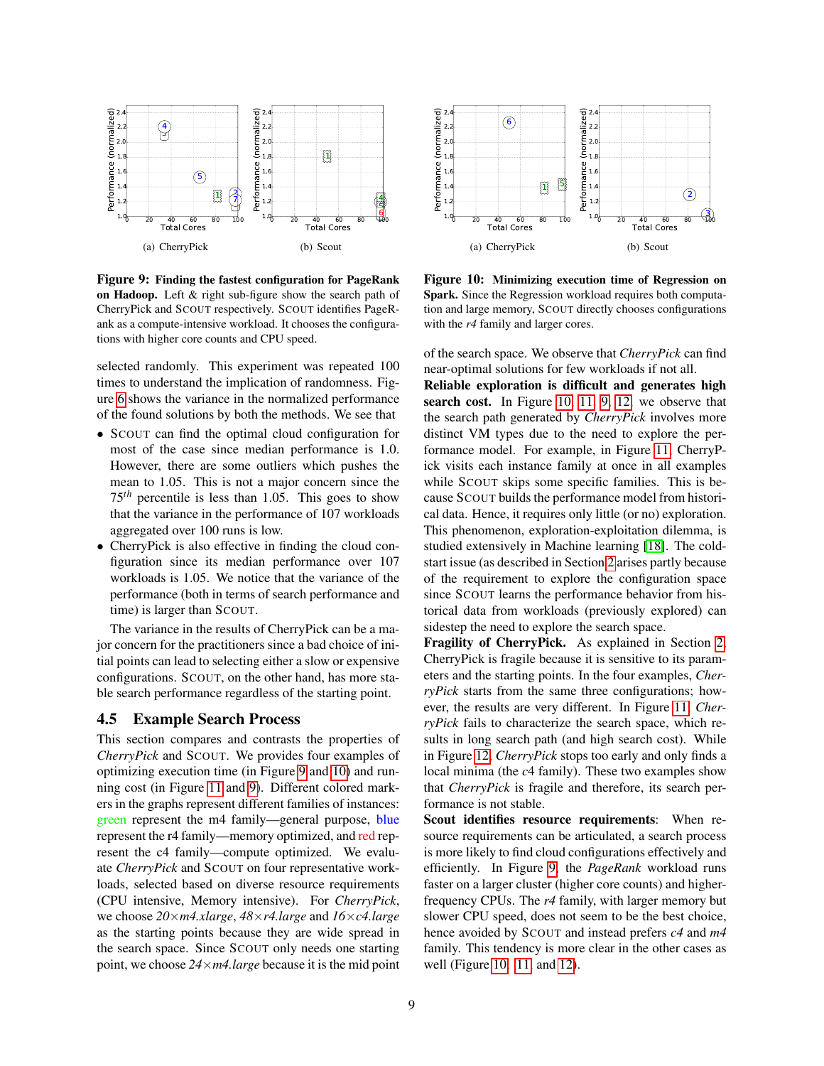<span id="page-8-0"></span>

Figure 9: Finding the fastest configuration for PageRank on Hadoop. Left & right sub-figure show the search path of CherryPick and SCOUT respectively. SCOUT identifies PageRank as a compute-intensive workload. It chooses the configurations with higher core counts and CPU speed.

selected randomly. This experiment was repeated 100 times to understand the implication of randomness. Figure [6](#page-7-0) shows the variance in the normalized performance of the found solutions by both the methods. We see that

- SCOUT can find the optimal cloud configuration for most of the case since median performance is 1.0. However, there are some outliers which pushes the mean to 1.05. This is not a major concern since the 75*th* percentile is less than 1.05. This goes to show that the variance in the performance of 107 workloads aggregated over 100 runs is low.
- CherryPick is also effective in finding the cloud configuration since its median performance over 107 workloads is 1.05. We notice that the variance of the performance (both in terms of search performance and time) is larger than SCOUT.

The variance in the results of CherryPick can be a major concern for the practitioners since a bad choice of initial points can lead to selecting either a slow or expensive configurations. SCOUT, on the other hand, has more stable search performance regardless of the starting point.

### 4.5 Example Search Process

This section compares and contrasts the properties of *CherryPick* and SCOUT. We provides four examples of optimizing execution time (in Figure [9](#page-8-0) and [10\)](#page-8-1) and running cost (in Figure [11](#page-9-1) and [9\)](#page-8-0). Different colored markers in the graphs represent different families of instances: green represent the m4 family—general purpose, blue represent the r4 family—memory optimized, and red represent the c4 family—compute optimized. We evaluate *CherryPick* and SCOUT on four representative workloads, selected based on diverse resource requirements (CPU intensive, Memory intensive). For *CherryPick*, we choose *20*×*m4.xlarge*, *48*×*r4.large* and *16*×*c4.large* as the starting points because they are wide spread in the search space. Since SCOUT only needs one starting point, we choose *24*×*m4.large* because it is the mid point

<span id="page-8-1"></span>

Figure 10: Minimizing execution time of Regression on Spark. Since the Regression workload requires both computation and large memory, SCOUT directly chooses configurations with the *r4* family and larger cores.

of the search space. We observe that *CherryPick* can find near-optimal solutions for few workloads if not all.

Reliable exploration is difficult and generates high search cost. In Figure [10,](#page-8-1) [11,](#page-9-1) [9,](#page-8-0) [12,](#page-9-2) we observe that the search path generated by *CherryPick* involves more distinct VM types due to the need to explore the performance model. For example, in Figure [11,](#page-9-1) CherryPick visits each instance family at once in all examples while SCOUT skips some specific families. This is because SCOUT builds the performance model from historical data. Hence, it requires only little (or no) exploration. This phenomenon, exploration-exploitation dilemma, is studied extensively in Machine learning [\[18\]](#page-12-4). The coldstart issue (as described in Section [2](#page-1-1) arises partly because of the requirement to explore the configuration space since SCOUT learns the performance behavior from historical data from workloads (previously explored) can sidestep the need to explore the search space.

Fragility of CherryPick. As explained in Section [2,](#page-1-1) CherryPick is fragile because it is sensitive to its parameters and the starting points. In the four examples, *CherryPick* starts from the same three configurations; however, the results are very different. In Figure [11,](#page-9-1) *CherryPick* fails to characterize the search space, which results in long search path (and high search cost). While in Figure [12,](#page-9-2) *CherryPick* stops too early and only finds a local minima (the *c*4 family). These two examples show that *CherryPick* is fragile and therefore, its search performance is not stable.

Scout identifies resource requirements: When resource requirements can be articulated, a search process is more likely to find cloud configurations effectively and efficiently. In Figure [9,](#page-8-0) the *PageRank* workload runs faster on a larger cluster (higher core counts) and higherfrequency CPUs. The *r4* family, with larger memory but slower CPU speed, does not seem to be the best choice, hence avoided by SCOUT and instead prefers *c4* and *m4* family. This tendency is more clear in the other cases as well (Figure [10,](#page-8-1) [11,](#page-9-1) and [12\)](#page-9-2).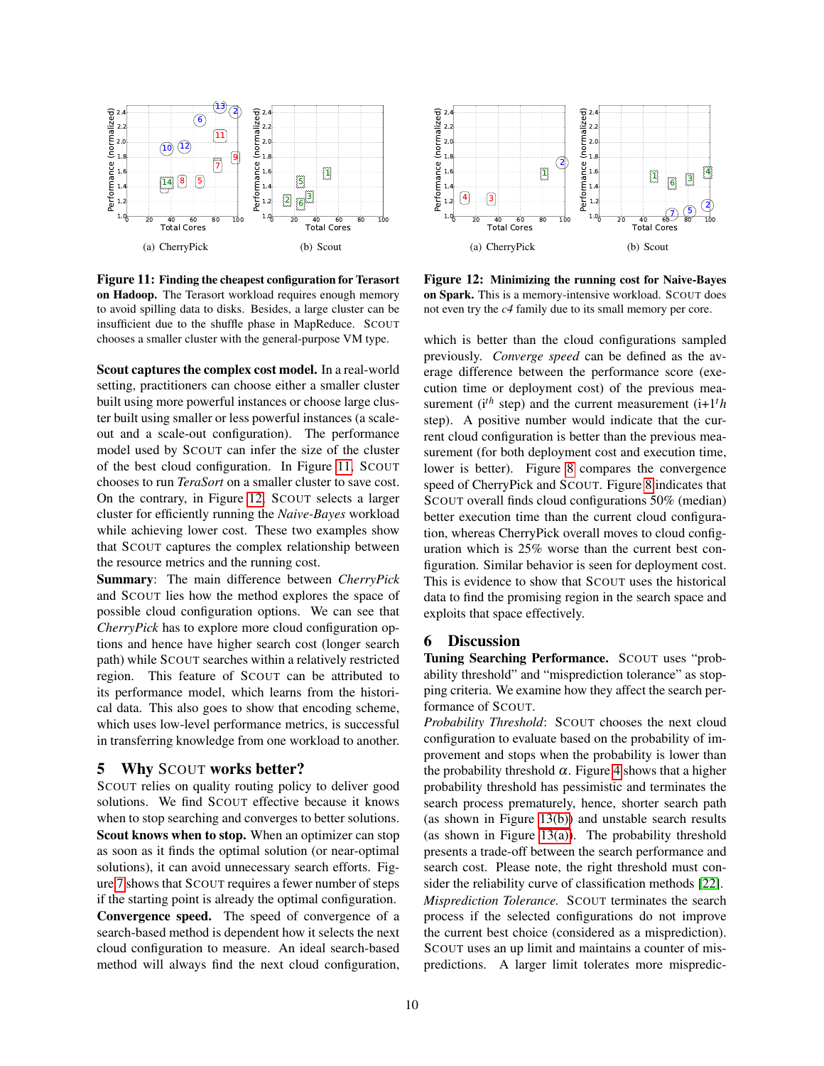<span id="page-9-1"></span>

Figure 11: Finding the cheapest configuration for Terasort on Hadoop. The Terasort workload requires enough memory to avoid spilling data to disks. Besides, a large cluster can be insufficient due to the shuffle phase in MapReduce. SCOUT chooses a smaller cluster with the general-purpose VM type.

Scout captures the complex cost model. In a real-world setting, practitioners can choose either a smaller cluster built using more powerful instances or choose large cluster built using smaller or less powerful instances (a scaleout and a scale-out configuration). The performance model used by SCOUT can infer the size of the cluster of the best cloud configuration. In Figure [11,](#page-9-1) SCOUT chooses to run *TeraSort* on a smaller cluster to save cost. On the contrary, in Figure [12,](#page-9-2) SCOUT selects a larger cluster for efficiently running the *Naive-Bayes* workload while achieving lower cost. These two examples show that SCOUT captures the complex relationship between the resource metrics and the running cost.

Summary: The main difference between *CherryPick* and SCOUT lies how the method explores the space of possible cloud configuration options. We can see that *CherryPick* has to explore more cloud configuration options and hence have higher search cost (longer search path) while SCOUT searches within a relatively restricted region. This feature of SCOUT can be attributed to its performance model, which learns from the historical data. This also goes to show that encoding scheme, which uses low-level performance metrics, is successful in transferring knowledge from one workload to another.

#### 5 Why SCOUT works better?

SCOUT relies on quality routing policy to deliver good solutions. We find SCOUT effective because it knows when to stop searching and converges to better solutions. Scout knows when to stop. When an optimizer can stop as soon as it finds the optimal solution (or near-optimal solutions), it can avoid unnecessary search efforts. Figure [7](#page-7-0) shows that SCOUT requires a fewer number of steps if the starting point is already the optimal configuration. Convergence speed. The speed of convergence of a search-based method is dependent how it selects the next cloud configuration to measure. An ideal search-based method will always find the next cloud configuration,

<span id="page-9-2"></span>

Figure 12: Minimizing the running cost for Naive-Bayes on Spark. This is a memory-intensive workload. SCOUT does not even try the *c4* family due to its small memory per core.

which is better than the cloud configurations sampled previously. *Converge speed* can be defined as the average difference between the performance score (execution time or deployment cost) of the previous measurement ( $i^{th}$  step) and the current measurement ( $i+1<sup>t</sup>h$ step). A positive number would indicate that the current cloud configuration is better than the previous measurement (for both deployment cost and execution time, lower is better). Figure [8](#page-7-0) compares the convergence speed of CherryPick and SCOUT. Figure [8](#page-7-0) indicates that SCOUT overall finds cloud configurations 50% (median) better execution time than the current cloud configuration, whereas CherryPick overall moves to cloud configuration which is 25% worse than the current best configuration. Similar behavior is seen for deployment cost. This is evidence to show that SCOUT uses the historical data to find the promising region in the search space and exploits that space effectively.

#### <span id="page-9-0"></span>6 Discussion

Tuning Searching Performance. SCOUT uses "probability threshold" and "misprediction tolerance" as stopping criteria. We examine how they affect the search performance of SCOUT.

*Probability Threshold*: SCOUT chooses the next cloud configuration to evaluate based on the probability of improvement and stops when the probability is lower than the probability threshold  $\alpha$ . Figure [4](#page-6-4) shows that a higher probability threshold has pessimistic and terminates the search process prematurely, hence, shorter search path (as shown in Figure [13\(b\)\)](#page-10-0) and unstable search results (as shown in Figure [13\(a\)\)](#page-10-1). The probability threshold presents a trade-off between the search performance and search cost. Please note, the right threshold must consider the reliability curve of classification methods [\[22\]](#page-12-13). *Misprediction Tolerance.* SCOUT terminates the search process if the selected configurations do not improve the current best choice (considered as a misprediction). SCOUT uses an up limit and maintains a counter of mispredictions. A larger limit tolerates more mispredic-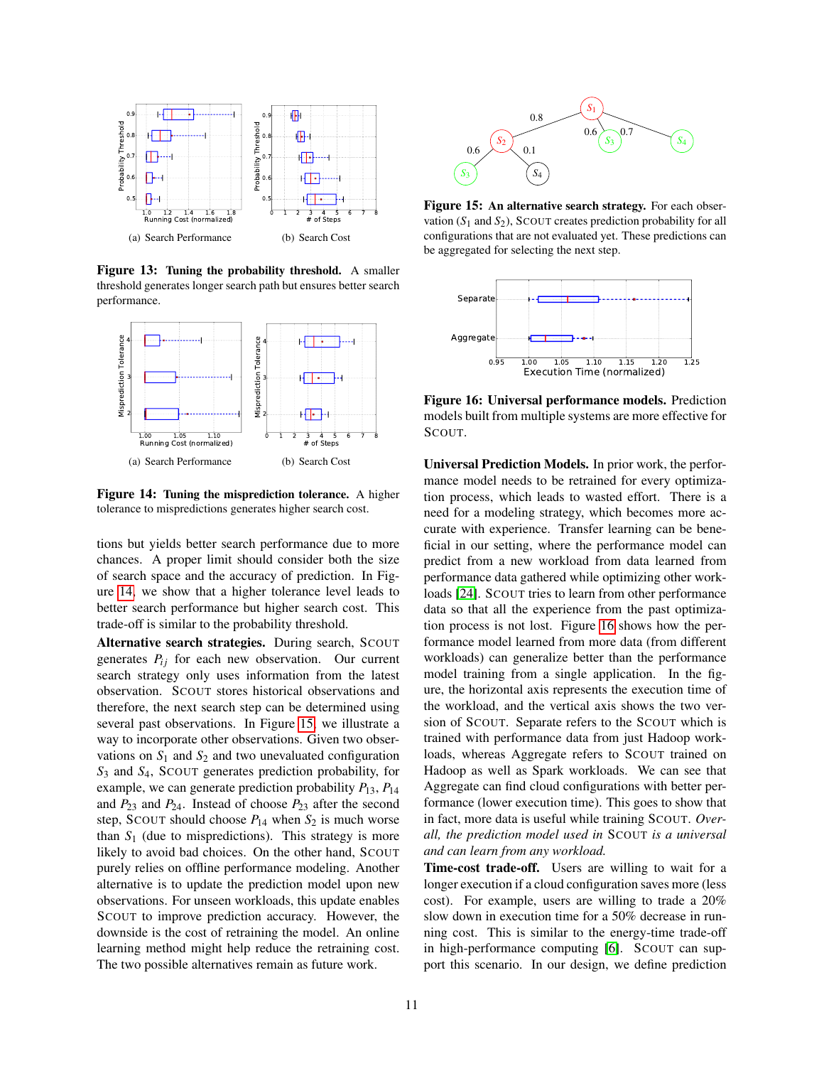<span id="page-10-1"></span>

<span id="page-10-0"></span>Figure 13: Tuning the probability threshold. A smaller threshold generates longer search path but ensures better search performance.

<span id="page-10-2"></span>

Figure 14: Tuning the misprediction tolerance. A higher tolerance to mispredictions generates higher search cost.

tions but yields better search performance due to more chances. A proper limit should consider both the size of search space and the accuracy of prediction. In Figure [14,](#page-10-2) we show that a higher tolerance level leads to better search performance but higher search cost. This trade-off is similar to the probability threshold.

Alternative search strategies. During search, SCOUT generates  $P_{ij}$  for each new observation. Our current search strategy only uses information from the latest observation. SCOUT stores historical observations and therefore, the next search step can be determined using several past observations. In Figure [15,](#page-10-3) we illustrate a way to incorporate other observations. Given two observations on  $S_1$  and  $S_2$  and two unevaluated configuration *S*<sup>3</sup> and *S*4, SCOUT generates prediction probability, for example, we can generate prediction probability *P*13, *P*<sup>14</sup> and  $P_{23}$  and  $P_{24}$ . Instead of choose  $P_{23}$  after the second step, SCOUT should choose  $P_{14}$  when  $S_2$  is much worse than  $S_1$  (due to mispredictions). This strategy is more likely to avoid bad choices. On the other hand, SCOUT purely relies on offline performance modeling. Another alternative is to update the prediction model upon new observations. For unseen workloads, this update enables SCOUT to improve prediction accuracy. However, the downside is the cost of retraining the model. An online learning method might help reduce the retraining cost. The two possible alternatives remain as future work.

<span id="page-10-3"></span>

Figure 15: An alternative search strategy. For each observation  $(S_1 \text{ and } S_2)$ , SCOUT creates prediction probability for all configurations that are not evaluated yet. These predictions can be aggregated for selecting the next step.

<span id="page-10-4"></span>

Figure 16: Universal performance models. Prediction models built from multiple systems are more effective for SCOUT.

Universal Prediction Models. In prior work, the performance model needs to be retrained for every optimization process, which leads to wasted effort. There is a need for a modeling strategy, which becomes more accurate with experience. Transfer learning can be beneficial in our setting, where the performance model can predict from a new workload from data learned from performance data gathered while optimizing other workloads [\[24\]](#page-12-14). SCOUT tries to learn from other performance data so that all the experience from the past optimization process is not lost. Figure [16](#page-10-4) shows how the performance model learned from more data (from different workloads) can generalize better than the performance model training from a single application. In the figure, the horizontal axis represents the execution time of the workload, and the vertical axis shows the two version of SCOUT. Separate refers to the SCOUT which is trained with performance data from just Hadoop workloads, whereas Aggregate refers to SCOUT trained on Hadoop as well as Spark workloads. We can see that Aggregate can find cloud configurations with better performance (lower execution time). This goes to show that in fact, more data is useful while training SCOUT. *Overall, the prediction model used in* SCOUT *is a universal and can learn from any workload.*

Time-cost trade-off. Users are willing to wait for a longer execution if a cloud configuration saves more (less cost). For example, users are willing to trade a 20% slow down in execution time for a 50% decrease in running cost. This is similar to the energy-time trade-off in high-performance computing [\[6\]](#page-12-15). SCOUT can support this scenario. In our design, we define prediction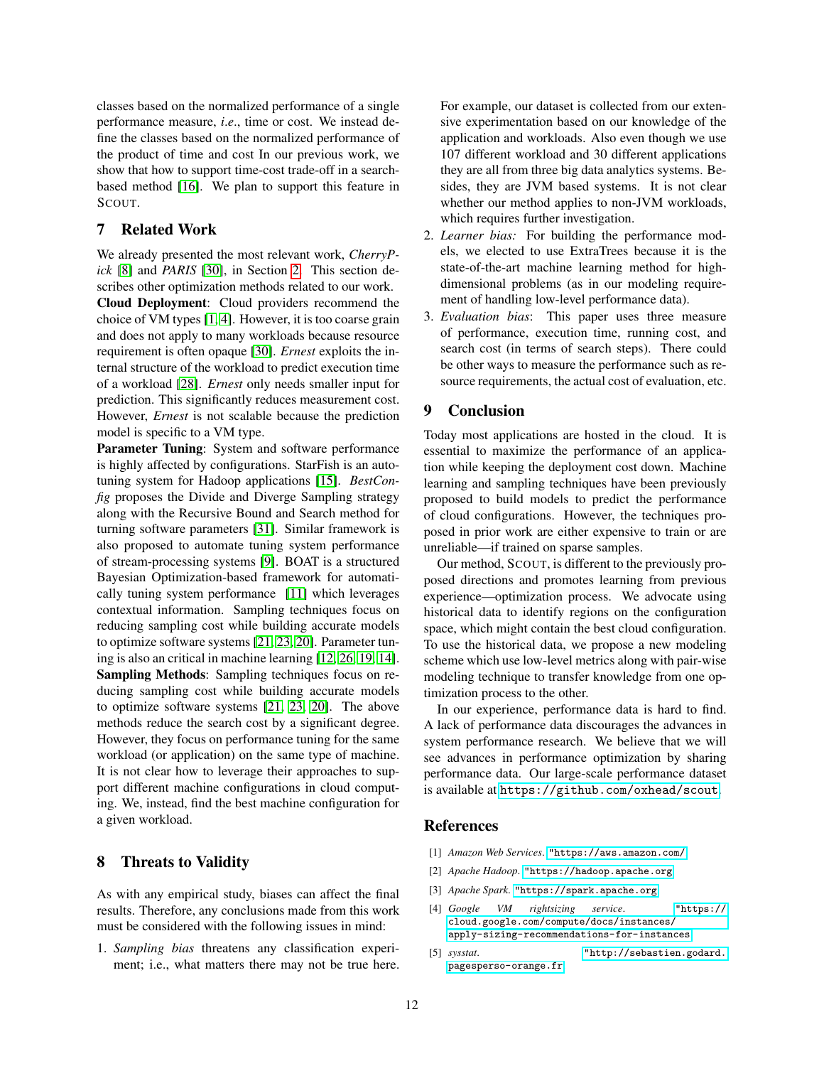classes based on the normalized performance of a single performance measure, *i*.*e*., time or cost. We instead define the classes based on the normalized performance of the product of time and cost In our previous work, we show that how to support time-cost trade-off in a searchbased method [\[16\]](#page-12-1). We plan to support this feature in SCOUT.

#### 7 Related Work

We already presented the most relevant work, *CherryPick* [\[8\]](#page-12-0) and *PARIS* [\[30\]](#page-12-3), in Section [2.](#page-1-1) This section describes other optimization methods related to our work.

Cloud Deployment: Cloud providers recommend the choice of VM types [\[1,](#page-11-3) [4\]](#page-11-4). However, it is too coarse grain and does not apply to many workloads because resource requirement is often opaque [\[30\]](#page-12-3). *Ernest* exploits the internal structure of the workload to predict execution time of a workload [\[28\]](#page-12-2). *Ernest* only needs smaller input for prediction. This significantly reduces measurement cost. However, *Ernest* is not scalable because the prediction model is specific to a VM type.

Parameter Tuning: System and software performance is highly affected by configurations. StarFish is an autotuning system for Hadoop applications [\[15\]](#page-12-16). *BestConfig* proposes the Divide and Diverge Sampling strategy along with the Recursive Bound and Search method for turning software parameters [\[31\]](#page-12-17). Similar framework is also proposed to automate tuning system performance of stream-processing systems [\[9\]](#page-12-18). BOAT is a structured Bayesian Optimization-based framework for automatically tuning system performance [\[11\]](#page-12-19) which leverages contextual information. Sampling techniques focus on reducing sampling cost while building accurate models to optimize software systems [\[21,](#page-12-20) [23,](#page-12-21) [20\]](#page-12-7). Parameter tuning is also an critical in machine learning [\[12,](#page-12-22) [26,](#page-12-23) [19,](#page-12-24) [14\]](#page-12-25). Sampling Methods: Sampling techniques focus on reducing sampling cost while building accurate models to optimize software systems [\[21,](#page-12-20) [23,](#page-12-21) [20\]](#page-12-7). The above methods reduce the search cost by a significant degree. However, they focus on performance tuning for the same workload (or application) on the same type of machine. It is not clear how to leverage their approaches to support different machine configurations in cloud computing. We, instead, find the best machine configuration for a given workload.

## 8 Threats to Validity

As with any empirical study, biases can affect the final results. Therefore, any conclusions made from this work must be considered with the following issues in mind:

1. *Sampling bias* threatens any classification experiment; i.e., what matters there may not be true here. For example, our dataset is collected from our extensive experimentation based on our knowledge of the application and workloads. Also even though we use 107 different workload and 30 different applications they are all from three big data analytics systems. Besides, they are JVM based systems. It is not clear whether our method applies to non-JVM workloads, which requires further investigation.

- 2. *Learner bias:* For building the performance models, we elected to use ExtraTrees because it is the state-of-the-art machine learning method for highdimensional problems (as in our modeling requirement of handling low-level performance data).
- 3. *Evaluation bias*: This paper uses three measure of performance, execution time, running cost, and search cost (in terms of search steps). There could be other ways to measure the performance such as resource requirements, the actual cost of evaluation, etc.

## 9 Conclusion

Today most applications are hosted in the cloud. It is essential to maximize the performance of an application while keeping the deployment cost down. Machine learning and sampling techniques have been previously proposed to build models to predict the performance of cloud configurations. However, the techniques proposed in prior work are either expensive to train or are unreliable—if trained on sparse samples.

Our method, SCOUT, is different to the previously proposed directions and promotes learning from previous experience—optimization process. We advocate using historical data to identify regions on the configuration space, which might contain the best cloud configuration. To use the historical data, we propose a new modeling scheme which use low-level metrics along with pair-wise modeling technique to transfer knowledge from one optimization process to the other.

In our experience, performance data is hard to find. A lack of performance data discourages the advances in system performance research. We believe that we will see advances in performance optimization by sharing performance data. Our large-scale performance dataset is available at <https://github.com/oxhead/scout>.

#### References

- <span id="page-11-3"></span>[1] *Amazon Web Services*. <"https://aws.amazon.com/>.
- <span id="page-11-0"></span>[2] *Apache Hadoop*. <"https://hadoop.apache.org>.
- <span id="page-11-1"></span>[3] *Apache Spark*. <"https://spark.apache.org>.
- <span id="page-11-4"></span>[4] *Google VM rightsizing service*. ["https://]("https://cloud.google.com/compute/docs/instances/apply-sizing-recommendations-for-instances) [cloud.google.com/compute/docs/instances/]("https://cloud.google.com/compute/docs/instances/apply-sizing-recommendations-for-instances) [apply-sizing-recommendations-for-instances]("https://cloud.google.com/compute/docs/instances/apply-sizing-recommendations-for-instances).
- <span id="page-11-2"></span>[5] *sysstat*. ["http://sebastien.godard.]("http://sebastien.godard.pagesperso-orange.fr) [pagesperso-orange.fr]("http://sebastien.godard.pagesperso-orange.fr).